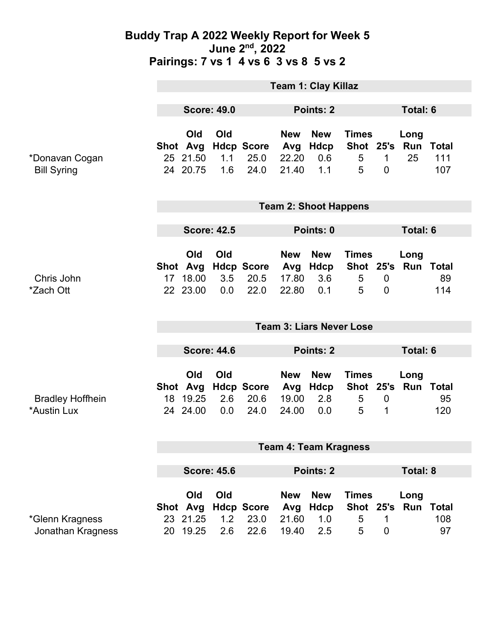|                                        | <b>Team 1: Clay Killaz</b>      |                                         |                   |                                   |                                     |                                  |                                     |                                |                                   |                           |
|----------------------------------------|---------------------------------|-----------------------------------------|-------------------|-----------------------------------|-------------------------------------|----------------------------------|-------------------------------------|--------------------------------|-----------------------------------|---------------------------|
|                                        | <b>Score: 49.0</b>              |                                         |                   | Points: 2                         |                                     |                                  |                                     | <b>Total: 6</b>                |                                   |                           |
| *Donavan Cogan<br><b>Bill Syring</b>   |                                 | Old<br>Shot Avg<br>25 21.50<br>24 20.75 | Old<br>1.1<br>1.6 | <b>Hdcp Score</b><br>25.0<br>24.0 | <b>New</b><br>Avg<br>22.20<br>21.40 | <b>New</b><br>Hdcp<br>0.6<br>1.1 | <b>Times</b><br>5<br>5              | $\mathbf{1}$<br>$\overline{0}$ | Long<br>Shot 25's Run Total<br>25 | 111<br>107                |
|                                        | <b>Team 2: Shoot Happens</b>    |                                         |                   |                                   |                                     |                                  |                                     |                                |                                   |                           |
|                                        | <b>Score: 42.5</b>              |                                         |                   | Points: 0                         |                                     |                                  |                                     | <b>Total: 6</b>                |                                   |                           |
| Chris John<br>*Zach Ott                | 17 <sup>1</sup>                 | Old<br>Shot Avg<br>18.00<br>22 23.00    | Old<br>3.5<br>0.0 | <b>Hdcp Score</b><br>20.5<br>22.0 | <b>New</b><br>Avg<br>17.80<br>22.80 | <b>New</b><br>Hdcp<br>3.6<br>0.1 | <b>Times</b><br>5<br>5              | $\mathbf 0$<br>$\mathbf{0}$    | Long<br>Shot 25's Run Total       | 89<br>114                 |
|                                        | <b>Team 3: Liars Never Lose</b> |                                         |                   |                                   |                                     |                                  |                                     |                                |                                   |                           |
|                                        | <b>Score: 44.6</b>              |                                         |                   | <b>Points: 2</b>                  |                                     |                                  |                                     | <b>Total: 6</b>                |                                   |                           |
| <b>Bradley Hoffhein</b><br>*Austin Lux |                                 | Old<br>Shot Avg<br>18 19.25<br>24 24.00 | Old<br>2.6<br>0.0 | <b>Hdcp Score</b><br>20.6<br>24.0 | <b>New</b><br>Avg<br>19.00<br>24.00 | <b>New</b><br>Hdcp<br>2.8<br>0.0 | <b>Times</b><br>5<br>5              | $\mathbf 0$<br>1               | Long<br>Shot 25's Run             | <b>Total</b><br>95<br>120 |
|                                        | <b>Team 4: Team Kragness</b>    |                                         |                   |                                   |                                     |                                  |                                     |                                |                                   |                           |
|                                        | <b>Score: 45.6</b>              |                                         |                   | Points: 2                         |                                     |                                  |                                     | Total: 8                       |                                   |                           |
| *Glenn Kragness<br>Jonathan Kragness   |                                 | Old<br>Shot Avg<br>23 21.25<br>20 19.25 | Old<br>1.2<br>2.6 | <b>Hdcp Score</b><br>23.0<br>22.6 | <b>New</b><br>Avg<br>21.60<br>19.40 | <b>New</b><br>Hdcp<br>1.0<br>2.5 | <b>Times</b><br>Shot 25's<br>5<br>5 | 1<br>0                         | Long<br>Run                       | Total<br>108<br>97        |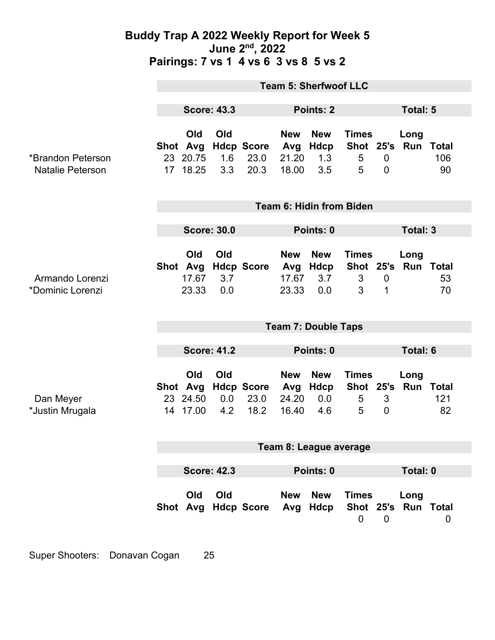|                                              | <b>Team 5: Sherfwoof LLC</b>    |                                         |                   |                                   |                                     |                                      |                                     |                            |                             |           |
|----------------------------------------------|---------------------------------|-----------------------------------------|-------------------|-----------------------------------|-------------------------------------|--------------------------------------|-------------------------------------|----------------------------|-----------------------------|-----------|
|                                              | <b>Score: 43.3</b>              |                                         |                   | Points: 2                         |                                     |                                      |                                     | Total: 5                   |                             |           |
| *Brandon Peterson<br><b>Natalie Peterson</b> |                                 | Old<br>Shot Avg<br>23 20.75<br>17 18.25 | Old<br>1.6<br>3.3 | <b>Hdcp Score</b><br>23.0<br>20.3 | <b>New</b><br>Avg<br>21.20<br>18.00 | <b>New</b><br>Hdcp<br>1.3<br>3.5     | <b>Times</b><br>Shot 25's<br>5<br>5 | $\mathbf 0$<br>$\mathbf 0$ | Long<br>Run Total           | 106<br>90 |
|                                              | <b>Team 6: Hidin from Biden</b> |                                         |                   |                                   |                                     |                                      |                                     |                            |                             |           |
|                                              | <b>Score: 30.0</b>              |                                         |                   |                                   | Points: 0                           |                                      |                                     | Total: 3                   |                             |           |
| Armando Lorenzi<br>*Dominic Lorenzi          |                                 | Old<br>Shot Avg<br>17.67<br>23.33       | Old<br>3.7<br>0.0 | <b>Hdcp Score</b>                 | <b>New</b><br>17.67<br>23.33        | <b>New</b><br>Avg Hdcp<br>3.7<br>0.0 | <b>Times</b><br>Shot 25's<br>3<br>3 | $\boldsymbol{0}$<br>1      | Long<br><b>Run Total</b>    | 53<br>70  |
|                                              | <b>Team 7: Double Taps</b>      |                                         |                   |                                   |                                     |                                      |                                     |                            |                             |           |
|                                              | <b>Score: 41.2</b>              |                                         |                   | Points: 0                         |                                     |                                      | Total: 6                            |                            |                             |           |
| Dan Meyer<br>*Justin Mrugala                 |                                 | Old<br>Shot Avg<br>23 24.50<br>14 17.00 | Old<br>0.0<br>4.2 | <b>Hdcp Score</b><br>23.0<br>18.2 | <b>New</b><br>Avg<br>24.20<br>16.40 | <b>New</b><br>Hdcp<br>0.0<br>4.6     | <b>Times</b><br>5<br>5              | 3<br>$\overline{0}$        | Long<br>Shot 25's Run Total | 121<br>82 |
|                                              | Team 8: League average          |                                         |                   |                                   |                                     |                                      |                                     |                            |                             |           |
|                                              | <b>Score: 42.3</b>              |                                         |                   | Points: 0                         |                                     |                                      |                                     | Total: 0                   |                             |           |
|                                              |                                 | Old                                     | Old               | Shot Avg Hdcp Score               | <b>New</b><br>Avg                   | <b>New</b><br>Hdcp                   | <b>Times</b><br>$\mathbf 0$         | $\mathbf 0$                | Long<br>Shot 25's Run Total | 0         |

Super Shooters: Donavan Cogan 25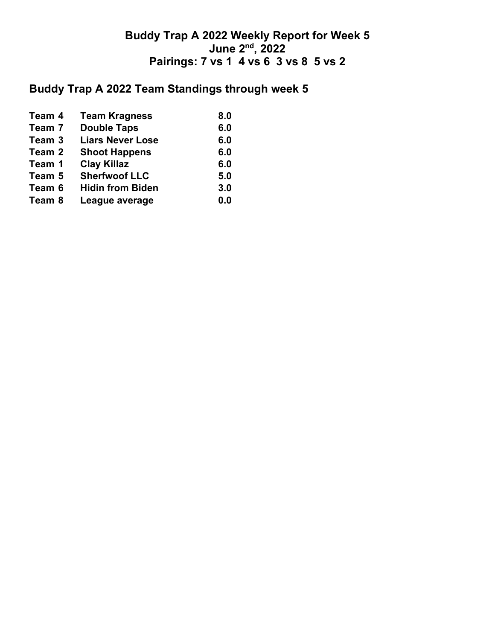# **Buddy Trap A 2022 Team Standings through week 5**

| Team 4 | <b>Team Kragness</b>    | 8.0 |
|--------|-------------------------|-----|
| Team 7 | <b>Double Taps</b>      | 6.0 |
| Team 3 | <b>Liars Never Lose</b> | 6.0 |
| Team 2 | <b>Shoot Happens</b>    | 6.0 |
| Team 1 | <b>Clay Killaz</b>      | 6.0 |
| Team 5 | <b>Sherfwoof LLC</b>    | 5.0 |
| Team 6 | <b>Hidin from Biden</b> | 3.0 |
| Team 8 | League average          | 0.0 |